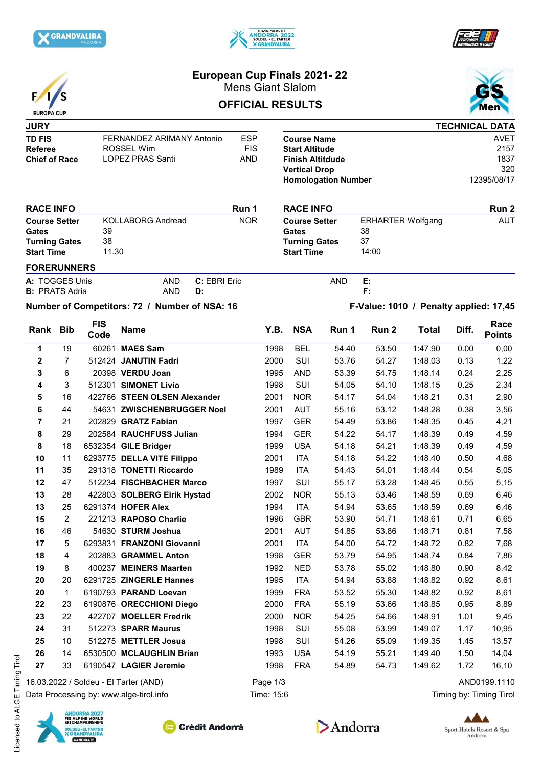





# F EUROPA CUP

### **European Cup Finals 2021- 22** Mens Giant Slalom

# **OFFICIAL RESULTS**



#### **JURY TD FIS** FERNANDEZ ARIMANY Antonio ESP<br>Referee ROSSEL Wim FIS **Referee** ROSSEL Wim FIS<br> **Chief of Race** LOPEZ PRAS Santi AND **LOPEZ PRAS Santi**

|                            | <b>TECHNICAL DATA</b> |
|----------------------------|-----------------------|
| <b>Course Name</b>         | <b>AVET</b>           |
| <b>Start Altitude</b>      | 2157                  |
| <b>Finish Altitdude</b>    | 1837                  |
| <b>Vertical Drop</b>       | 320                   |
| <b>Homologation Number</b> | 12395/08/17           |

**RACE INFO RUN 2** Course Setter ERHARTER Wolfgang AUT

**Gates** 38 **Turning Gates** 37 **Start Time** 14:00

AND

**E: F:**

#### **RACE INFO RUN 1 Course Setter** KOLLABORG Andread NOR **Gates** 39 **Turning Gates** 38 **Start Time** 11.30

#### **FORERUNNERS**

| A: TOGGES Unis        |     | AND <b>C</b> : FBRI Fric |
|-----------------------|-----|--------------------------|
| <b>B:</b> PRATS Adria | AND | D:                       |

## **Number of Competitors: 72 / Number of NSA: 16 F-Value: 1010 / Penalty applied: 17,45**

| Rank                                  | <b>Bib</b>     | <b>FIS</b><br>Code | <b>Name</b>                  | Y.B. | <b>NSA</b> | Run 1 | Run 2 | <b>Total</b> | Diff.        | Race<br><b>Points</b> |
|---------------------------------------|----------------|--------------------|------------------------------|------|------------|-------|-------|--------------|--------------|-----------------------|
| 1                                     | 19             | 60261              | <b>MAES Sam</b>              | 1998 | <b>BEL</b> | 54.40 | 53.50 | 1:47.90      | 0.00         | 0,00                  |
| $\mathbf 2$                           | $\overline{7}$ |                    | 512424 JANUTIN Fadri         | 2000 | SUI        | 53.76 | 54.27 | 1:48.03      | 0.13         | 1,22                  |
| 3                                     | 6              |                    | 20398 VERDU Joan             | 1995 | <b>AND</b> | 53.39 | 54.75 | 1:48.14      | 0.24         | 2,25                  |
| 4                                     | 3              |                    | 512301 SIMONET Livio         | 1998 | SUI        | 54.05 | 54.10 | 1:48.15      | 0.25         | 2,34                  |
| 5                                     | 16             |                    | 422766 STEEN OLSEN Alexander | 2001 | <b>NOR</b> | 54.17 | 54.04 | 1:48.21      | 0.31         | 2,90                  |
| 6                                     | 44             |                    | 54631 ZWISCHENBRUGGER Noel   | 2001 | <b>AUT</b> | 55.16 | 53.12 | 1:48.28      | 0.38         | 3,56                  |
| 7                                     | 21             |                    | 202829 GRATZ Fabian          | 1997 | <b>GER</b> | 54.49 | 53.86 | 1:48.35      | 0.45         | 4,21                  |
| 8                                     | 29             |                    | 202584 RAUCHFUSS Julian      | 1994 | <b>GER</b> | 54.22 | 54.17 | 1:48.39      | 0.49         | 4,59                  |
| 8                                     | 18             |                    | 6532354 GILE Bridger         | 1999 | <b>USA</b> | 54.18 | 54.21 | 1:48.39      | 0.49         | 4,59                  |
| 10                                    | 11             |                    | 6293775 DELLA VITE Filippo   | 2001 | <b>ITA</b> | 54.18 | 54.22 | 1:48.40      | 0.50         | 4,68                  |
| 11                                    | 35             |                    | 291318 TONETTI Riccardo      | 1989 | <b>ITA</b> | 54.43 | 54.01 | 1:48.44      | 0.54         | 5,05                  |
| 12                                    | 47             |                    | 512234 FISCHBACHER Marco     | 1997 | SUI        | 55.17 | 53.28 | 1:48.45      | 0.55         | 5,15                  |
| 13                                    | 28             |                    | 422803 SOLBERG Eirik Hystad  | 2002 | <b>NOR</b> | 55.13 | 53.46 | 1:48.59      | 0.69         | 6,46                  |
| 13                                    | 25             |                    | 6291374 HOFER Alex           | 1994 | <b>ITA</b> | 54.94 | 53.65 | 1:48.59      | 0.69         | 6,46                  |
| 15                                    | $\overline{2}$ |                    | 221213 RAPOSO Charlie        | 1996 | <b>GBR</b> | 53.90 | 54.71 | 1:48.61      | 0.71         | 6,65                  |
| 16                                    | 46             |                    | 54630 STURM Joshua           | 2001 | <b>AUT</b> | 54.85 | 53.86 | 1:48.71      | 0.81         | 7,58                  |
| 17                                    | 5              |                    | 6293831 FRANZONI Giovanni    | 2001 | <b>ITA</b> | 54.00 | 54.72 | 1:48.72      | 0.82         | 7,68                  |
| 18                                    | 4              |                    | 202883 GRAMMEL Anton         | 1998 | <b>GER</b> | 53.79 | 54.95 | 1:48.74      | 0.84         | 7,86                  |
| 19                                    | 8              |                    | 400237 MEINERS Maarten       | 1992 | <b>NED</b> | 53.78 | 55.02 | 1:48.80      | 0.90         | 8,42                  |
| 20                                    | 20             |                    | 6291725 ZINGERLE Hannes      | 1995 | <b>ITA</b> | 54.94 | 53.88 | 1:48.82      | 0.92         | 8,61                  |
| 20                                    | $\mathbf{1}$   |                    | 6190793 PARAND Loevan        | 1999 | <b>FRA</b> | 53.52 | 55.30 | 1:48.82      | 0.92         | 8,61                  |
| 22                                    | 23             |                    | 6190876 ORECCHIONI Diego     | 2000 | <b>FRA</b> | 55.19 | 53.66 | 1:48.85      | 0.95         | 8,89                  |
| 23                                    | 22             |                    | 422707 MOELLER Fredrik       | 2000 | <b>NOR</b> | 54.25 | 54.66 | 1:48.91      | 1.01         | 9,45                  |
| 24                                    | 31             |                    | 512273 SPARR Maurus          | 1998 | SUI        | 55.08 | 53.99 | 1:49.07      | 1.17         | 10,95                 |
| 25                                    | 10             |                    | 512275 METTLER Josua         | 1998 | SUI        | 54.26 | 55.09 | 1:49.35      | 1.45         | 13,57                 |
| 26                                    | 14             |                    | 6530500 MCLAUGHLIN Brian     | 1993 | <b>USA</b> | 54.19 | 55.21 | 1:49.40      | 1.50         | 14,04                 |
| 27                                    | 33             |                    | 6190547 LAGIER Jeremie       | 1998 | <b>FRA</b> | 54.89 | 54.73 | 1:49.62      | 1.72         | 16,10                 |
| 16.03.2022 / Soldeu - El Tarter (AND) |                |                    | Page 1/3                     |      |            |       |       |              | AND0199.1110 |                       |

Data Processing by: www.alge-tirol.info Time: 15:6 Time: 15:6 Timing by: Timing Tirol



-icensed to ALGE Timing Tirol Licensed to ALGE Timing Tirol







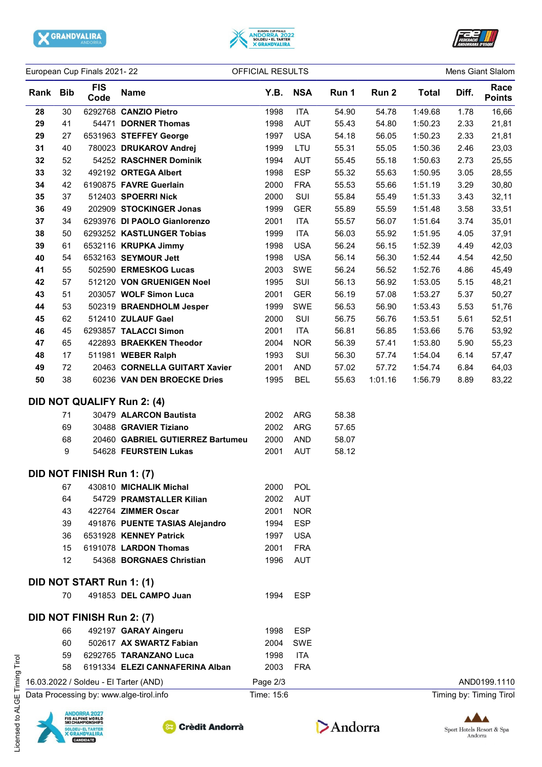





| European Cup Finals 2021-22 |          |                           | OFFICIAL RESULTS                                             |              |                          |                |                  |                    | Mens Giant Slalom |                         |
|-----------------------------|----------|---------------------------|--------------------------------------------------------------|--------------|--------------------------|----------------|------------------|--------------------|-------------------|-------------------------|
| Rank Bib                    |          | <b>FIS</b><br>Code        | <b>Name</b>                                                  | Y.B.         | <b>NSA</b>               | Run 1          | Run 2            | <b>Total</b>       | Diff.             | Race<br><b>Points</b>   |
| 28                          | 30       |                           | 6292768 CANZIO Pietro                                        | 1998         | <b>ITA</b>               | 54.90          | 54.78            | 1:49.68            | 1.78              | 16,66                   |
| 29                          | 41       |                           | 54471 DORNER Thomas                                          | 1998         | <b>AUT</b>               | 55.43          | 54.80            | 1:50.23            | 2.33              | 21,81                   |
| 29                          | 27       |                           | 6531963 STEFFEY George                                       | 1997         | <b>USA</b>               | 54.18          | 56.05            | 1:50.23            | 2.33              | 21,81                   |
| 31                          | 40       |                           | 780023 DRUKAROV Andrej                                       | 1999         | LTU                      | 55.31          | 55.05            | 1:50.36            | 2.46              | 23,03                   |
| 32                          | 52       |                           | 54252 RASCHNER Dominik                                       | 1994         | <b>AUT</b>               | 55.45          | 55.18            | 1:50.63            | 2.73              | 25,55                   |
| 33                          | 32       |                           | 492192 ORTEGA Albert                                         | 1998         | <b>ESP</b>               | 55.32          | 55.63            | 1:50.95            | 3.05              | 28,55                   |
| 34                          | 42       |                           | 6190875 FAVRE Guerlain                                       | 2000         | <b>FRA</b>               | 55.53          | 55.66            | 1:51.19            | 3.29              | 30,80                   |
| 35                          | 37       |                           | 512403 SPOERRI Nick                                          | 2000         | SUI                      | 55.84          | 55.49            | 1:51.33            | 3.43              | 32,11                   |
| 36                          | 49       |                           | 202909 STOCKINGER Jonas                                      | 1999         | <b>GER</b>               | 55.89          | 55.59            | 1:51.48            | 3.58              | 33,51                   |
| 37                          | 34       |                           | 6293976 DI PAOLO Gianlorenzo                                 | 2001         | <b>ITA</b>               | 55.57          | 56.07            | 1:51.64            | 3.74              | 35,01                   |
| 38                          | 50       |                           | 6293252 KASTLUNGER Tobias                                    | 1999         | <b>ITA</b>               | 56.03          | 55.92            | 1:51.95            | 4.05              | 37,91                   |
| 39                          | 61       |                           | 6532116 KRUPKA Jimmy                                         | 1998         | <b>USA</b>               | 56.24          | 56.15            | 1:52.39            | 4.49              | 42,03                   |
| 40                          | 54       |                           | 6532163 SEYMOUR Jett                                         | 1998         | <b>USA</b>               | 56.14          | 56.30            | 1:52.44            | 4.54              | 42,50                   |
| 41                          | 55       |                           | 502590 ERMESKOG Lucas                                        | 2003         | SWE                      | 56.24          | 56.52            | 1:52.76            | 4.86              | 45,49                   |
| 42                          | 57       |                           | 512120 VON GRUENIGEN Noel                                    | 1995         | SUI                      | 56.13          | 56.92            | 1:53.05            | 5.15              | 48,21                   |
| 43                          | 51       |                           | 203057 WOLF Simon Luca                                       | 2001         | <b>GER</b>               | 56.19          | 57.08            | 1:53.27            | 5.37              | 50,27                   |
| 44                          | 53       |                           | 502319 BRAENDHOLM Jesper                                     | 1999         | SWE                      | 56.53          | 56.90            | 1:53.43            | 5.53              | 51,76                   |
| 45                          | 62       |                           | 512410 ZULAUF Gael                                           | 2000         | SUI                      | 56.75          | 56.76            | 1:53.51            | 5.61              | 52,51                   |
| 46                          | 45       |                           | 6293857 TALACCI Simon                                        | 2001         | <b>ITA</b>               | 56.81          | 56.85            | 1:53.66            | 5.76              | 53,92                   |
| 47                          | 65       |                           | 422893 BRAEKKEN Theodor                                      | 2004         | <b>NOR</b>               | 56.39          | 57.41            | 1:53.80            | 5.90              | 55,23                   |
| 48                          | 17       |                           | 511981 WEBER Ralph                                           | 1993         | SUI                      | 56.30          | 57.74            | 1:54.04            | 6.14              | 57,47                   |
| 49<br>50                    | 72<br>38 |                           | 20463 CORNELLA GUITART Xavier<br>60236 VAN DEN BROECKE Dries | 2001<br>1995 | <b>AND</b><br><b>BEL</b> | 57.02<br>55.63 | 57.72<br>1:01.16 | 1:54.74<br>1:56.79 | 6.84<br>8.89      | 64,03                   |
|                             |          |                           |                                                              |              |                          |                |                  |                    |                   | 83,22                   |
|                             |          |                           | <b>DID NOT QUALIFY Run 2: (4)</b>                            |              |                          |                |                  |                    |                   |                         |
|                             | 71       |                           | 30479 ALARCON Bautista                                       | 2002         | <b>ARG</b>               | 58.38          |                  |                    |                   |                         |
|                             | 69       |                           | 30488 GRAVIER Tiziano                                        | 2002         | <b>ARG</b>               | 57.65          |                  |                    |                   |                         |
|                             | 68       |                           | 20460 GABRIEL GUTIERREZ Bartumeu                             | 2000         | <b>AND</b>               | 58.07          |                  |                    |                   |                         |
|                             | 9        |                           | 54628 FEURSTEIN Lukas                                        | 2001         | AUT                      | 58.12          |                  |                    |                   |                         |
|                             |          | DID NOT FINISH Run 1: (7) |                                                              |              |                          |                |                  |                    |                   |                         |
|                             | 67       |                           | 430810 MICHALIK Michal                                       | 2000         | <b>POL</b>               |                |                  |                    |                   |                         |
|                             | 64       |                           | 54729 PRAMSTALLER Kilian                                     | 2002         | <b>AUT</b>               |                |                  |                    |                   |                         |
|                             | 43       |                           | 422764 ZIMMER Oscar                                          | 2001         | <b>NOR</b>               |                |                  |                    |                   |                         |
|                             | 39       |                           | 491876 PUENTE TASIAS Alejandro                               | 1994         | <b>ESP</b>               |                |                  |                    |                   |                         |
|                             | 36       |                           | 6531928 KENNEY Patrick                                       | 1997         | <b>USA</b>               |                |                  |                    |                   |                         |
|                             | 15       |                           | 6191078 LARDON Thomas                                        | 2001         | <b>FRA</b>               |                |                  |                    |                   |                         |
|                             | 12       |                           | 54368 BORGNAES Christian                                     | 1996         | <b>AUT</b>               |                |                  |                    |                   |                         |
|                             |          | DID NOT START Run 1: (1)  |                                                              |              |                          |                |                  |                    |                   |                         |
|                             | 70       |                           | 491853 DEL CAMPO Juan                                        | 1994         | <b>ESP</b>               |                |                  |                    |                   |                         |
|                             |          | DID NOT FINISH Run 2: (7) |                                                              |              |                          |                |                  |                    |                   |                         |
|                             |          |                           |                                                              |              |                          |                |                  |                    |                   |                         |
|                             | 66       |                           | 492197 GARAY Aingeru                                         | 1998         | <b>ESP</b>               |                |                  |                    |                   |                         |
|                             | 60       |                           | 502617 AX SWARTZ Fabian                                      | 2004         | SWE                      |                |                  |                    |                   |                         |
|                             | 59<br>58 |                           | 6292765 TARANZANO Luca<br>6191334 ELEZI CANNAFERINA Alban    | 1998<br>2003 | <b>ITA</b><br><b>FRA</b> |                |                  |                    |                   |                         |
|                             |          |                           |                                                              |              |                          |                |                  |                    |                   |                         |
|                             |          |                           | 16.03.2022 / Soldeu - El Tarter (AND)                        | Page 2/3     |                          |                |                  |                    |                   | AND0199.1110            |
|                             |          |                           | Data Processing by: www.alge-tirol.info                      | Time: 15:6   |                          |                |                  |                    |                   | Timing by: Timing Tirol |